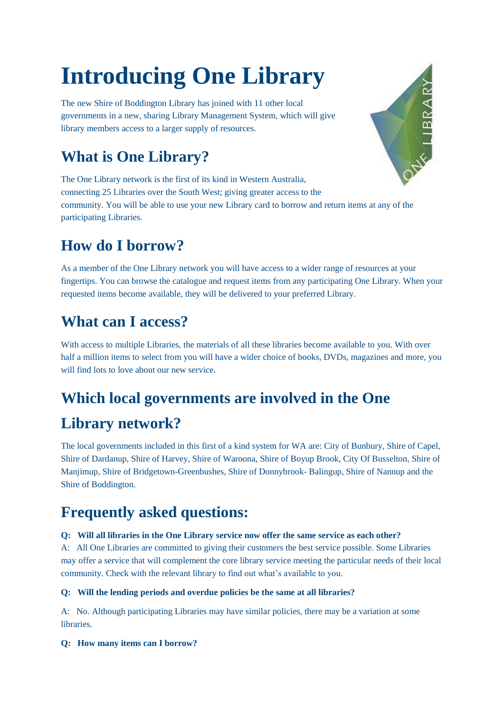# **Introducing One Library**

The new Shire of Boddington Library has joined with 11 other local governments in a new, sharing Library Management System, which will give library members access to a larger supply of resources.

## **What is One Library?**

The One Library network is the first of its kind in Western Australia, connecting 25 Libraries over the South West; giving greater access to the community. You will be able to use your new Library card to borrow and return items at any of the participating Libraries.

## **How do I borrow?**

As a member of the One Library network you will have access to a wider range of resources at your fingertips. You can browse the catalogue and request items from any participating One Library. When your requested items become available, they will be delivered to your preferred Library.

### **What can I access?**

With access to multiple Libraries, the materials of all these libraries become available to you. With over half a million items to select from you will have a wider choice of books, DVDs, magazines and more, you will find lots to love about our new service.

### **Which local governments are involved in the One**

### **Library network?**

The local governments included in this first of a kind system for WA are: City of Bunbury, Shire of Capel, Shire of Dardanup, Shire of Harvey, Shire of Waroona, Shire of Boyup Brook, City Of Busselton, Shire of Manjimup, Shire of Bridgetown-Greenbushes, Shire of Donnybrook- Balingup, Shire of Nannup and the Shire of Boddington.

### **Frequently asked questions:**

#### **Q: Will all libraries in the One Library service now offer the same service as each other?**

A: All One Libraries are committed to giving their customers the best service possible. Some Libraries may offer a service that will complement the core library service meeting the particular needs of their local community. Check with the relevant library to find out what's available to you.

#### **Q: Will the lending periods and overdue policies be the same at all libraries?**

A: No. Although participating Libraries may have similar policies, there may be a variation at some libraries.

#### **Q: How many items can I borrow?**